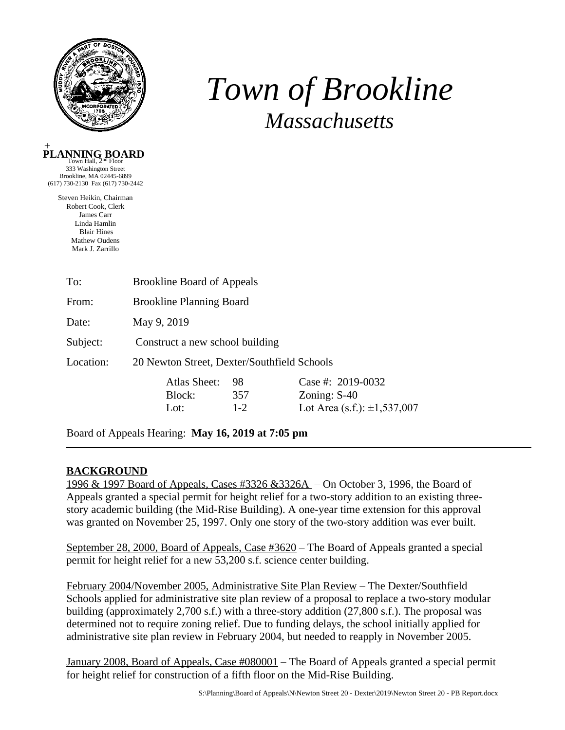

# *Town of Brookline Massachusetts*



Brookline, MA 02445-6899 (617) 730-2130 Fax (617) 730-2442

> Steven Heikin, Chairman Robert Cook, Clerk James Carr Linda Hamlin Blair Hines Mathew Oudens Mark J. Zarrillo

| To:       | <b>Brookline Board of Appeals</b>           |       |                                  |  |  |  |
|-----------|---------------------------------------------|-------|----------------------------------|--|--|--|
| From:     | <b>Brookline Planning Board</b>             |       |                                  |  |  |  |
| Date:     | May 9, 2019                                 |       |                                  |  |  |  |
| Subject:  | Construct a new school building             |       |                                  |  |  |  |
| Location: | 20 Newton Street, Dexter/Southfield Schools |       |                                  |  |  |  |
|           | Atlas Sheet:                                | 98    | Case #: 2019-0032                |  |  |  |
|           | Block:                                      | 357   | Zoning: $S-40$                   |  |  |  |
|           | Lot:                                        | $1-2$ | Lot Area (s.f.): $\pm 1,537,007$ |  |  |  |

Board of Appeals Hearing: **May 16, 2019 at 7:05 pm**

# **BACKGROUND**

1996 & 1997 Board of Appeals, Cases #3326 &3326A – On October 3, 1996, the Board of Appeals granted a special permit for height relief for a two-story addition to an existing threestory academic building (the Mid-Rise Building). A one-year time extension for this approval was granted on November 25, 1997. Only one story of the two-story addition was ever built.

September 28, 2000, Board of Appeals, Case #3620 – The Board of Appeals granted a special permit for height relief for a new 53,200 s.f. science center building.

February 2004/November 2005, Administrative Site Plan Review – The Dexter/Southfield Schools applied for administrative site plan review of a proposal to replace a two-story modular building (approximately 2,700 s.f.) with a three-story addition (27,800 s.f.). The proposal was determined not to require zoning relief. Due to funding delays, the school initially applied for administrative site plan review in February 2004, but needed to reapply in November 2005.

January 2008, Board of Appeals, Case #080001 – The Board of Appeals granted a special permit for height relief for construction of a fifth floor on the Mid-Rise Building.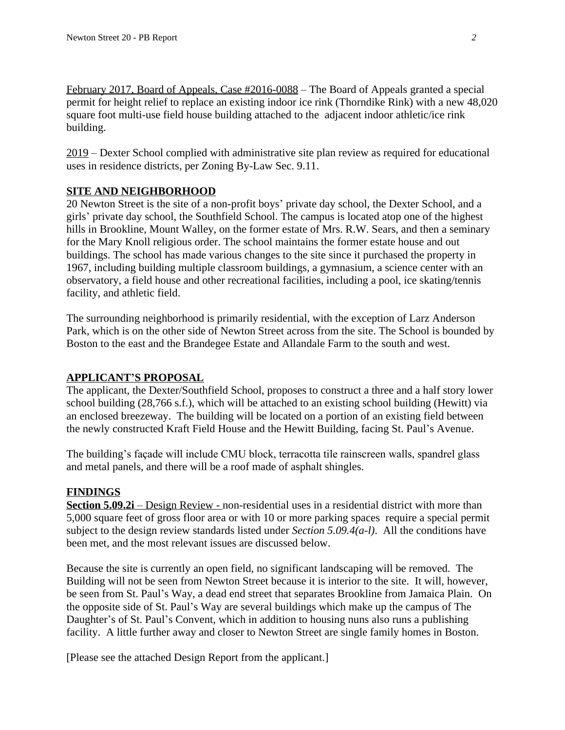February 2017, Board of Appeals, Case #2016-0088 – The Board of Appeals granted a special permit for height relief to replace an existing indoor ice rink (Thorndike Rink) with a new 48,020 square foot multi-use field house building attached to the adjacent indoor athletic/ice rink building.

2019 – Dexter School complied with administrative site plan review as required for educational uses in residence districts, per Zoning By-Law Sec. 9.11.

# **SITE AND NEIGHBORHOOD**

20 Newton Street is the site of a non-profit boys' private day school, the Dexter School, and a girls' private day school, the Southfield School. The campus is located atop one of the highest hills in Brookline, Mount Walley, on the former estate of Mrs. R.W. Sears, and then a seminary for the Mary Knoll religious order. The school maintains the former estate house and out buildings. The school has made various changes to the site since it purchased the property in 1967, including building multiple classroom buildings, a gymnasium, a science center with an observatory, a field house and other recreational facilities, including a pool, ice skating/tennis facility, and athletic field.

The surrounding neighborhood is primarily residential, with the exception of Larz Anderson Park, which is on the other side of Newton Street across from the site. The School is bounded by Boston to the east and the Brandegee Estate and Allandale Farm to the south and west.

# **APPLICANT'S PROPOSAL**

The applicant, the Dexter/Southfield School, proposes to construct a three and a half story lower school building (28,766 s.f.), which will be attached to an existing school building (Hewitt) via an enclosed breezeway. The building will be located on a portion of an existing field between the newly constructed Kraft Field House and the Hewitt Building, facing St. Paul's Avenue.

The building's façade will include CMU block, terracotta tile rainscreen walls, spandrel glass and metal panels, and there will be a roof made of asphalt shingles.

#### **FINDINGS**

**Section 5.09.2i** – Design Review - non-residential uses in a residential district with more than 5,000 square feet of gross floor area or with 10 or more parking spaces require a special permit subject to the design review standards listed under *Section 5.09.4(a-l)*. All the conditions have been met, and the most relevant issues are discussed below.

Because the site is currently an open field, no significant landscaping will be removed. The Building will not be seen from Newton Street because it is interior to the site. It will, however, be seen from St. Paul's Way, a dead end street that separates Brookline from Jamaica Plain. On the opposite side of St. Paul's Way are several buildings which make up the campus of The Daughter's of St. Paul's Convent, which in addition to housing nuns also runs a publishing facility. A little further away and closer to Newton Street are single family homes in Boston.

[Please see the attached Design Report from the applicant.]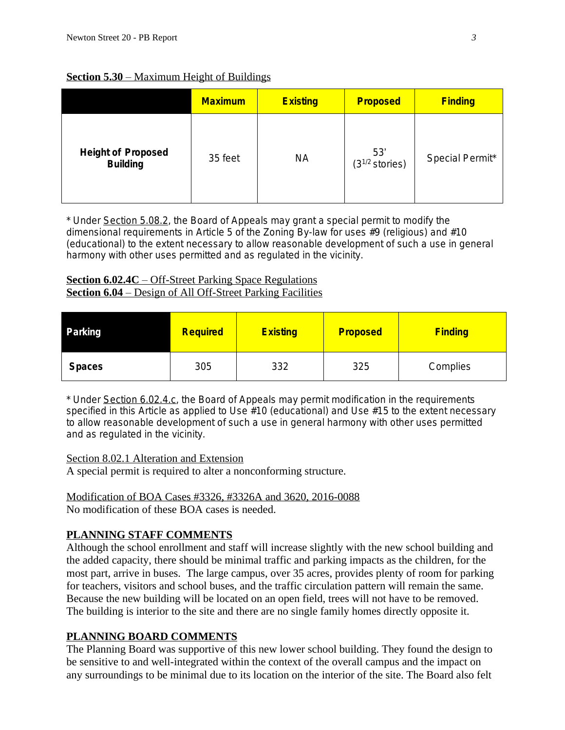**Section 5.30** – Maximum Height of Buildings

|                                              | <b>Maximum</b> | <b>Existing</b> | <b>Proposed</b>            | <b>Finding</b>  |
|----------------------------------------------|----------------|-----------------|----------------------------|-----------------|
| <b>Height of Proposed</b><br><b>Building</b> | 35 feet        | <b>NA</b>       | 53'<br>$(3^{1/2}$ stories) | Special Permit* |

\* Under Section 5.08.2, the Board of Appeals may grant a special permit to modify the dimensional requirements in Article 5 of the Zoning By-law for uses #9 (religious) and #10 (educational) to the extent necessary to allow reasonable development of such a use in general harmony with other uses permitted and as regulated in the vicinity.

#### **Section 6.02.4C** – Off-Street Parking Space Regulations **Section 6.04** – Design of All Off-Street Parking Facilities

| Parking       | <b>Required</b> | <b>Existing</b> | <b>Proposed</b> | <b>Finding</b> |
|---------------|-----------------|-----------------|-----------------|----------------|
| <b>Spaces</b> | 305             | 332             | 325             | Complies       |

\* Under Section 6.02.4.c, the Board of Appeals may permit modification in the requirements specified in this Article as applied to Use #10 (educational) and Use #15 to the extent necessary to allow reasonable development of such a use in general harmony with other uses permitted and as regulated in the vicinity.

# Section 8.02.1 Alteration and Extension

A special permit is required to alter a nonconforming structure.

#### Modification of BOA Cases #3326, #3326A and 3620, 2016-0088 No modification of these BOA cases is needed.

# **PLANNING STAFF COMMENTS**

Although the school enrollment and staff will increase slightly with the new school building and the added capacity, there should be minimal traffic and parking impacts as the children, for the most part, arrive in buses. The large campus, over 35 acres, provides plenty of room for parking for teachers, visitors and school buses, and the traffic circulation pattern will remain the same. Because the new building will be located on an open field, trees will not have to be removed. The building is interior to the site and there are no single family homes directly opposite it.

# **PLANNING BOARD COMMENTS**

The Planning Board was supportive of this new lower school building. They found the design to be sensitive to and well-integrated within the context of the overall campus and the impact on any surroundings to be minimal due to its location on the interior of the site. The Board also felt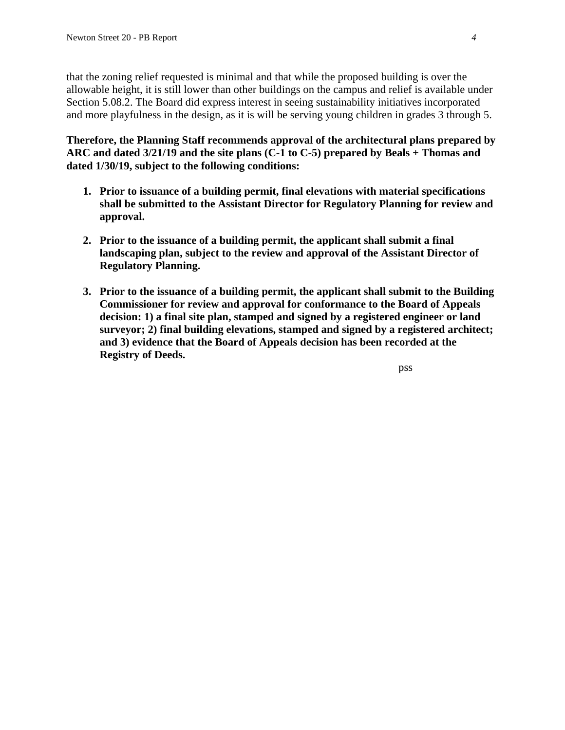that the zoning relief requested is minimal and that while the proposed building is over the allowable height, it is still lower than other buildings on the campus and relief is available under Section 5.08.2. The Board did express interest in seeing sustainability initiatives incorporated and more playfulness in the design, as it is will be serving young children in grades 3 through 5.

**Therefore, the Planning Staff recommends approval of the architectural plans prepared by ARC and dated 3/21/19 and the site plans (C-1 to C-5) prepared by Beals + Thomas and dated 1/30/19, subject to the following conditions:**

- **1. Prior to issuance of a building permit, final elevations with material specifications shall be submitted to the Assistant Director for Regulatory Planning for review and approval.**
- **2. Prior to the issuance of a building permit, the applicant shall submit a final landscaping plan, subject to the review and approval of the Assistant Director of Regulatory Planning.**
- **3. Prior to the issuance of a building permit, the applicant shall submit to the Building Commissioner for review and approval for conformance to the Board of Appeals decision: 1) a final site plan, stamped and signed by a registered engineer or land surveyor; 2) final building elevations, stamped and signed by a registered architect; and 3) evidence that the Board of Appeals decision has been recorded at the Registry of Deeds.**